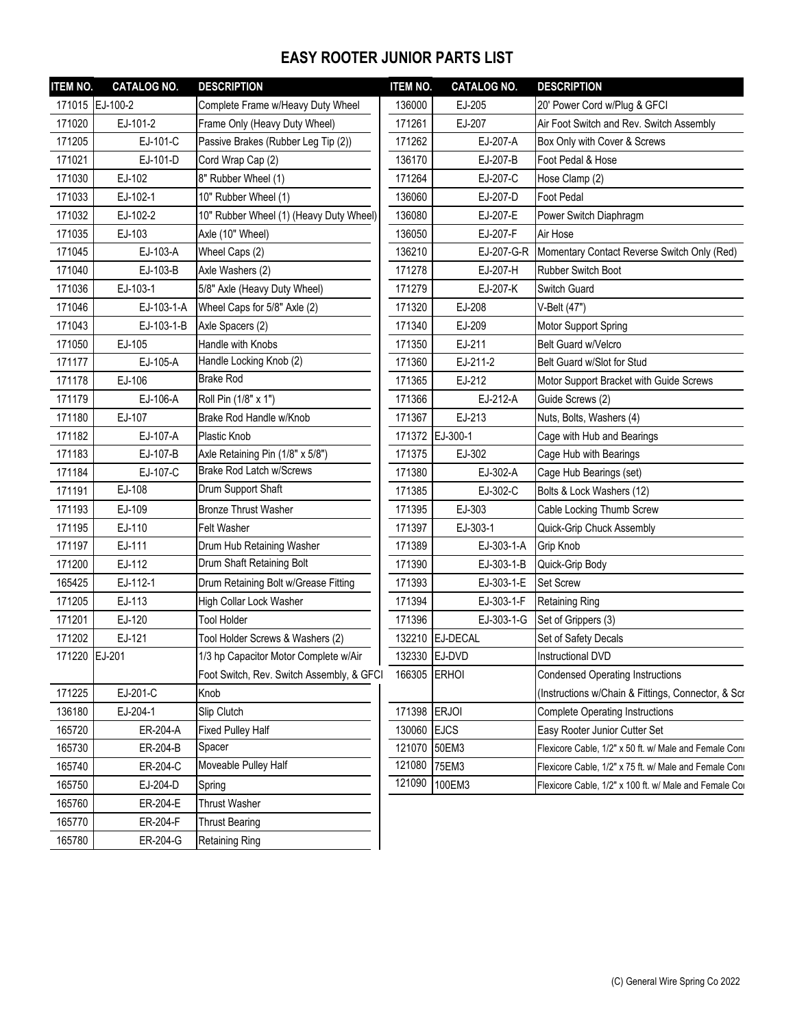## **EASY ROOTER JUNIOR PARTS LIST**

| <b>ITEM NO.</b> | <b>CATALOG NO.</b> | <b>DESCRIPTION</b>                        | <b>ITEM NO.</b> | <b>CATALOG NO.</b> | <b>DESCRIPTION</b>                                     |
|-----------------|--------------------|-------------------------------------------|-----------------|--------------------|--------------------------------------------------------|
|                 | 171015 EJ-100-2    | Complete Frame w/Heavy Duty Wheel         | 136000          | EJ-205             | 20' Power Cord w/Plug & GFCI                           |
| 171020          | EJ-101-2           | Frame Only (Heavy Duty Wheel)             | 171261          | EJ-207             | Air Foot Switch and Rev. Switch Assembly               |
| 171205          | EJ-101-C           | Passive Brakes (Rubber Leg Tip (2))       | 171262          | EJ-207-A           | Box Only with Cover & Screws                           |
| 171021          | EJ-101-D           | Cord Wrap Cap (2)                         | 136170          | EJ-207-B           | Foot Pedal & Hose                                      |
| 171030          | EJ-102             | 8" Rubber Wheel (1)                       | 171264          | EJ-207-C           | Hose Clamp (2)                                         |
| 171033          | EJ-102-1           | 10" Rubber Wheel (1)                      | 136060          | EJ-207-D           | <b>Foot Pedal</b>                                      |
| 171032          | EJ-102-2           | 10" Rubber Wheel (1) (Heavy Duty Wheel)   | 136080          | EJ-207-E           | Power Switch Diaphragm                                 |
| 171035          | EJ-103             | Axle (10" Wheel)                          | 136050          | EJ-207-F           | Air Hose                                               |
| 171045          | EJ-103-A           | Wheel Caps (2)                            | 136210          | EJ-207-G-R         | Momentary Contact Reverse Switch Only (Red)            |
| 171040          | EJ-103-B           | Axle Washers (2)                          | 171278          | EJ-207-H           | <b>Rubber Switch Boot</b>                              |
| 171036          | EJ-103-1           | 5/8" Axle (Heavy Duty Wheel)              | 171279          | EJ-207-K           | Switch Guard                                           |
| 171046          | EJ-103-1-A         | Wheel Caps for 5/8" Axle (2)              | 171320          | EJ-208             | V-Belt (47")                                           |
| 171043          | EJ-103-1-B         | Axle Spacers (2)                          | 171340          | EJ-209             | Motor Support Spring                                   |
| 171050          | EJ-105             | Handle with Knobs                         | 171350          | EJ-211             | Belt Guard w/Velcro                                    |
| 171177          | EJ-105-A           | Handle Locking Knob (2)                   | 171360          | EJ-211-2           | Belt Guard w/Slot for Stud                             |
| 171178          | EJ-106             | <b>Brake Rod</b>                          | 171365          | EJ-212             | Motor Support Bracket with Guide Screws                |
| 171179          | EJ-106-A           | Roll Pin (1/8" x 1")                      | 171366          | EJ-212-A           | Guide Screws (2)                                       |
| 171180          | EJ-107             | Brake Rod Handle w/Knob                   | 171367          | EJ-213             | Nuts, Bolts, Washers (4)                               |
| 171182          | EJ-107-A           | Plastic Knob                              | 171372          | EJ-300-1           | Cage with Hub and Bearings                             |
| 171183          | EJ-107-B           | Axle Retaining Pin (1/8" x 5/8")          | 171375          | EJ-302             | Cage Hub with Bearings                                 |
| 171184          | EJ-107-C           | <b>Brake Rod Latch w/Screws</b>           | 171380          | EJ-302-A           | Cage Hub Bearings (set)                                |
| 171191          | EJ-108             | Drum Support Shaft                        | 171385          | EJ-302-C           | Bolts & Lock Washers (12)                              |
| 171193          | EJ-109             | <b>Bronze Thrust Washer</b>               | 171395          | EJ-303             | Cable Locking Thumb Screw                              |
| 171195          | EJ-110             | Felt Washer                               | 171397          | EJ-303-1           | Quick-Grip Chuck Assembly                              |
| 171197          | EJ-111             | Drum Hub Retaining Washer                 | 171389          | EJ-303-1-A         | Grip Knob                                              |
| 171200          | EJ-112             | Drum Shaft Retaining Bolt                 | 171390          | EJ-303-1-B         | Quick-Grip Body                                        |
| 165425          | EJ-112-1           | Drum Retaining Bolt w/Grease Fitting      | 171393          | EJ-303-1-E         | <b>Set Screw</b>                                       |
| 171205          | EJ-113             | High Collar Lock Washer                   | 171394          | EJ-303-1-F         | <b>Retaining Ring</b>                                  |
| 171201          | EJ-120             | <b>Tool Holder</b>                        | 171396          | EJ-303-1-G         | Set of Grippers (3)                                    |
| 171202          | EJ-121             | Tool Holder Screws & Washers (2)          |                 | 132210 EJ-DECAL    | Set of Safety Decals                                   |
| 171220 EJ-201   |                    | 1/3 hp Capacitor Motor Complete w/Air     | 132330 EJ-DVD   |                    | Instructional DVD                                      |
|                 |                    | Foot Switch, Rev. Switch Assembly, & GFCI | 166305 ERHOI    |                    | <b>Condensed Operating Instructions</b>                |
| 171225          | EJ-201-C           | Knob                                      |                 |                    | (Instructions w/Chain & Fittings, Connector, & Scr     |
| 136180          | EJ-204-1           | Slip Clutch                               | 171398 ERJOI    |                    | <b>Complete Operating Instructions</b>                 |
| 165720          | ER-204-A           | <b>Fixed Pulley Half</b>                  | 130060          | <b>EJCS</b>        | Easy Rooter Junior Cutter Set                          |
| 165730          | ER-204-B           | Spacer                                    | 121070          | 50EM3              | Flexicore Cable, 1/2" x 50 ft. w/ Male and Female Coni |
| 165740          | ER-204-C           | Moveable Pulley Half                      | 121080          | 75EM3              | Flexicore Cable, 1/2" x 75 ft. w/ Male and Female Coni |
| 165750          | EJ-204-D           | Spring                                    | 121090          | 100EM3             | Flexicore Cable, 1/2" x 100 ft. w/ Male and Female Cor |
| 165760          | ER-204-E           | <b>Thrust Washer</b>                      |                 |                    |                                                        |
| 165770          | ER-204-F           | <b>Thrust Bearing</b>                     |                 |                    |                                                        |
| 165780          | ER-204-G           | <b>Retaining Ring</b>                     |                 |                    |                                                        |